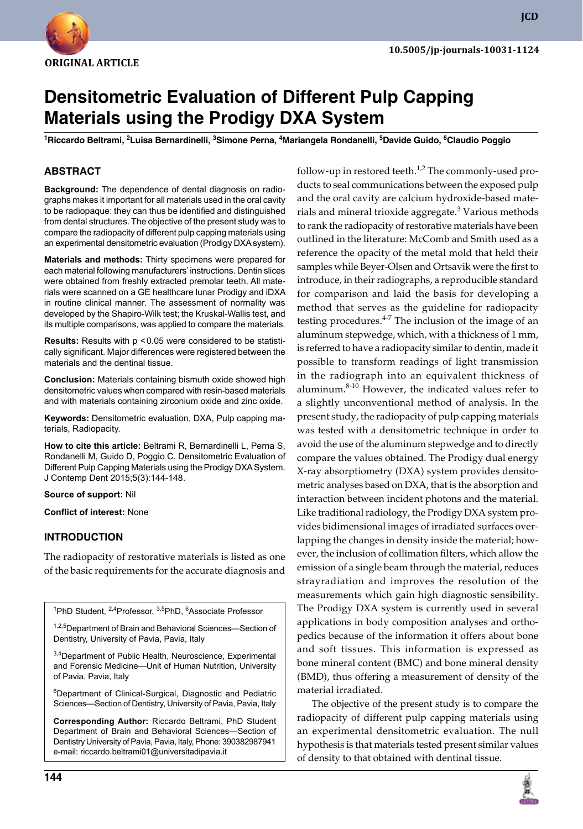

**JCD**

# **Densitometric Evaluation of Different Pulp Capping Materials using the Prodigy DXA System**

<sup>1</sup>Riccardo Beltrami, <sup>2</sup>Luisa Bernardinelli, <sup>3</sup>Simone Perna, <sup>4</sup>Mariangela Rondanelli, <sup>5</sup>Davide Guido, <sup>6</sup>Claudio Poggio

# **ABSTRACT**

**Background:** The dependence of dental diagnosis on radiographs makes it important for all materials used in the oral cavity to be radiopaque: they can thus be identified and distinguished from dental structures. The objective of the present study was to compare the radiopacity of different pulp capping materials using an experimental densitometric evaluation (Prodigy DXA system).

**Materials and methods:** Thirty specimens were prepared for each material following manufacturers' instructions. Dentin slices were obtained from freshly extracted premolar teeth. All materials were scanned on a GE healthcare lunar Prodigy and iDXA in routine clinical manner. The assessment of normality was developed by the Shapiro-Wilk test; the Kruskal-Wallis test, and its multiple comparisons, was applied to compare the materials.

**Results:** Results with p <0.05 were considered to be statistically significant. Major differences were registered between the materials and the dentinal tissue.

**Conclusion:** Materials containing bismuth oxide showed high densitometric values when compared with resin-based materials and with materials containing zirconium oxide and zinc oxide.

**Keywords:** Densitometric evaluation, DXA, Pulp capping materials, Radiopacity.

**How to cite this article:** Beltrami R, Bernardinelli L, Perna S, Rondanelli M, Guido D, Poggio C. Densitometric Evaluation of Different Pulp Capping Materials using the Prodigy DXA System. J Contemp Dent 2015;5(3):144-148.

**Source of support:** Nil

**Conflict of interest:** None

## **Introduction**

The radiopacity of restorative materials is listed as one of the basic requirements for the accurate diagnosis and

<sup>1</sup>PhD Student, <sup>2,4</sup>Professor, <sup>3,5</sup>PhD, <sup>6</sup>Associate Professor

1,2,5 Department of Brain and Behavioral Sciences—Section of Dentistry, University of Pavia, Pavia, Italy

<sup>3,4</sup>Department of Public Health, Neuroscience, Experimental and Forensic Medicine—Unit of Human Nutrition, University of Pavia, Pavia, Italy

6 Department of Clinical-Surgical, Diagnostic and Pediatric Sciences—Section of Dentistry, University of Pavia, Pavia, Italy

**Corresponding Author:** Riccardo Beltrami, PhD Student Department of Brain and Behavioral Sciences—Section of Dentistry University of Pavia, Pavia, Italy, Phone: 390382987941 e-mail: riccardo.beltrami01@universitadipavia.it

ducts to seal communications between the exposed pulp and the oral cavity are calcium hydroxide-based materials and mineral trioxide aggregate.<sup>3</sup> Various methods to rank the radiopacity of restorative materials have been outlined in the literature: McComb and Smith used as a reference the opacity of the metal mold that held their samples while Beyer-Olsen and Ortsavik were the first to introduce, in their radiographs, a reproducible standard for comparison and laid the basis for developing a method that serves as the guideline for radiopacity testing procedures. $4-7$  The inclusion of the image of an aluminum stepwedge, which, with a thickness of 1 mm, is referred to have a radiopacity similar to dentin, made it possible to transform readings of light transmission in the radiograph into an equivalent thickness of aluminum.<sup>8-10</sup> However, the indicated values refer to a slightly unconventional method of analysis. In the present study, the radiopacity of pulp capping materials was tested with a densitometric technique in order to avoid the use of the aluminum stepwedge and to directly compare the values obtained. The Prodigy dual energy X-ray absorptiometry (DXA) system provides densitometric analyses based on DXA, that is the absorption and interaction between incident photons and the material. Like traditional radiology, the Prodigy DXA system provides bidimensional images of irradiated surfaces overlapping the changes in density inside the material; however, the inclusion of collimation filters, which allow the emission of a single beam through the material, reduces strayradiation and improves the resolution of the measurements which gain high diagnostic sensibility. The Prodigy DXA system is currently used in several applications in body composition analyses and orthopedics because of the information it offers about bone and soft tissues. This information is expressed as bone mineral content (BMC) and bone mineral density (BMD), thus offering a measurement of density of the material irradiated. The objective of the present study is to compare the

follow-up in restored teeth.<sup>1,2</sup> The commonly-used pro-

radiopacity of different pulp capping materials using an experimental densitometric evaluation. The null hypothesis is that materials tested present similar values of density to that obtained with dentinal tissue.

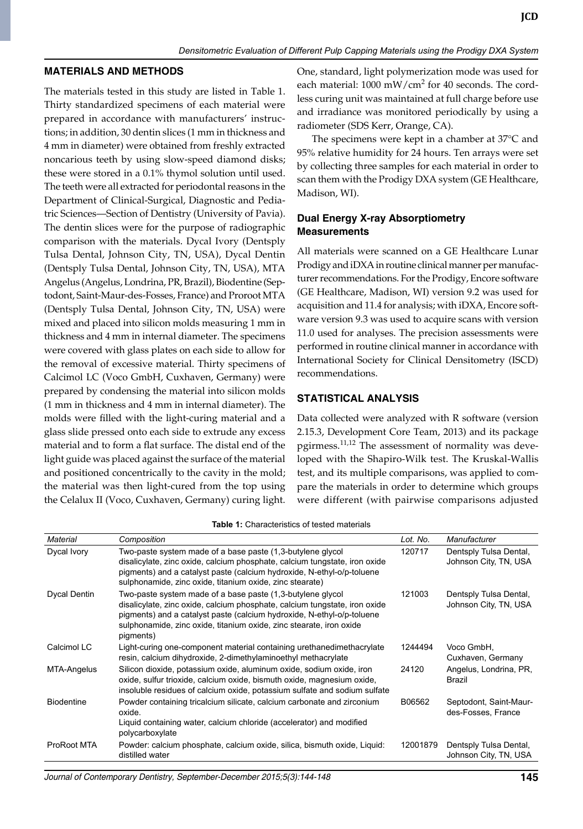#### **MATERIALS AND METHODS**

The materials tested in this study are listed in Table 1. Thirty standardized specimens of each material were prepared in accordance with manufacturers' instructions; in addition, 30 dentin slices (1 mm in thickness and 4 mm in diameter) were obtained from freshly extracted noncarious teeth by using slow-speed diamond disks; these were stored in a 0.1% thymol solution until used. The teeth were all extracted for periodontal reasons in the Department of Clinical-Surgical, Diagnostic and Pediatric Sciences—Section of Dentistry (University of Pavia). The dentin slices were for the purpose of radiographic comparison with the materials. Dycal Ivory (Dentsply Tulsa Dental, Johnson City, TN, USA), Dycal Dentin (Dentsply Tulsa Dental, Johnson City, TN, USA), MTA Angelus (Angelus, Londrina, PR, Brazil), Biodentine (Septodont, Saint-Maur-des-Fosses, France) and Proroot MTA (Dentsply Tulsa Dental, Johnson City, TN, USA) were mixed and placed into silicon molds measuring 1 mm in thickness and 4 mm in internal diameter. The specimens were covered with glass plates on each side to allow for the removal of excessive material. Thirty specimens of Calcimol LC (Voco GmbH, Cuxhaven, Germany) were prepared by condensing the material into silicon molds (1 mm in thickness and 4 mm in internal diameter). The molds were filled with the light-curing material and a glass slide pressed onto each side to extrude any excess material and to form a flat surface. The distal end of the light guide was placed against the surface of the material and positioned concentrically to the cavity in the mold; the material was then light-cured from the top using the Celalux II (Voco, Cuxhaven, Germany) curing light.

One, standard, light polymerization mode was used for each material: 1000 mW/cm<sup>2</sup> for 40 seconds. The cordless curing unit was maintained at full charge before use and irradiance was monitored periodically by using a radiometer (SDS Kerr, Orange, CA).

The specimens were kept in a chamber at 37°C and 95% relative humidity for 24 hours. Ten arrays were set by collecting three samples for each material in order to scan them with the Prodigy DXA system (GE Healthcare, Madison, WI).

## **Dual Energy X-ray Absorptiometry Measurements**

All materials were scanned on a GE Healthcare Lunar Prodigy and iDXA in routine clinical manner per manufacturer recommendations. For the Prodigy, Encore software (GE Healthcare, Madison, WI) version 9.2 was used for acquisition and 11.4 for analysis; with iDXA, Encore software version 9.3 was used to acquire scans with version 11.0 used for analyses. The precision assessments were performed in routine clinical manner in accordance with International Society for Clinical Densitometry (ISCD) recommendations.

## **Statistical analysis**

Data collected were analyzed with R software (version 2.15.3, Development Core Team, 2013) and its package pgirmess. $^{11,12}$  The assessment of normality was developed with the Shapiro-Wilk test. The Kruskal-Wallis test, and its multiple comparisons, was applied to compare the materials in order to determine which groups were different (with pairwise comparisons adjusted

| Material            | Composition                                                                                                                                                                                                                                                                                            | Lot. No. | Manufacturer                                    |
|---------------------|--------------------------------------------------------------------------------------------------------------------------------------------------------------------------------------------------------------------------------------------------------------------------------------------------------|----------|-------------------------------------------------|
| Dycal Ivory         | Two-paste system made of a base paste (1,3-butylene glycol<br>disalicylate, zinc oxide, calcium phosphate, calcium tungstate, iron oxide<br>pigments) and a catalyst paste (calcium hydroxide, N-ethyl-o/p-toluene<br>sulphonamide, zinc oxide, titanium oxide, zinc stearate)                         | 120717   | Dentsply Tulsa Dental,<br>Johnson City, TN, USA |
| <b>Dycal Dentin</b> | Two-paste system made of a base paste (1,3-butylene glycol<br>disalicylate, zinc oxide, calcium phosphate, calcium tungstate, iron oxide<br>pigments) and a catalyst paste (calcium hydroxide, N-ethyl-o/p-toluene<br>sulphonamide, zinc oxide, titanium oxide, zinc stearate, iron oxide<br>pigments) | 121003   | Dentsply Tulsa Dental,<br>Johnson City, TN, USA |
| Calcimol LC         | Light-curing one-component material containing urethanedimethacrylate<br>resin, calcium dihydroxide, 2-dimethylaminoethyl methacrylate                                                                                                                                                                 | 1244494  | Voco GmbH,<br>Cuxhaven, Germany                 |
| MTA-Angelus         | Silicon dioxide, potassium oxide, aluminum oxide, sodium oxide, iron<br>oxide, sulfur trioxide, calcium oxide, bismuth oxide, magnesium oxide,<br>insoluble residues of calcium oxide, potassium sulfate and sodium sulfate                                                                            | 24120    | Angelus, Londrina, PR,<br>Brazil                |
| <b>Biodentine</b>   | Powder containing tricalcium silicate, calcium carbonate and zirconium<br>oxide.<br>Liquid containing water, calcium chloride (accelerator) and modified<br>polycarboxylate                                                                                                                            | B06562   | Septodont, Saint-Maur-<br>des-Fosses, France    |
| ProRoot MTA         | Powder: calcium phosphate, calcium oxide, silica, bismuth oxide, Liquid:<br>distilled water                                                                                                                                                                                                            | 12001879 | Dentsply Tulsa Dental,<br>Johnson City, TN, USA |

**Table 1:** Characteristics of tested materials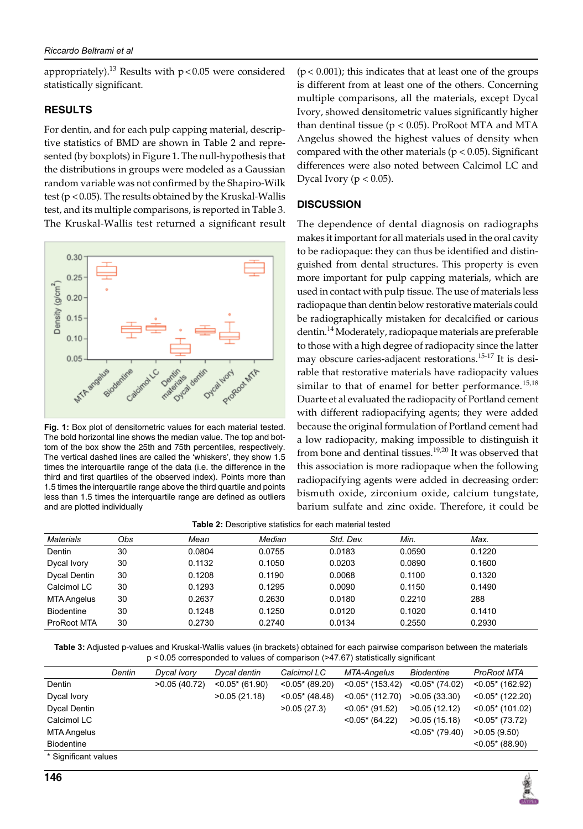appropriately).<sup>13</sup> Results with  $p < 0.05$  were considered statistically significant.

# **RESULTS**

For dentin, and for each pulp capping material, descriptive statistics of BMD are shown in Table 2 and represented (by boxplots) in Figure 1. The null-hypothesis that the distributions in groups were modeled as a Gaussian random variable was not confirmed by the Shapiro-Wilk test ( $p < 0.05$ ). The results obtained by the Kruskal-Wallis test, and its multiple comparisons, is reported in Table 3. The Kruskal-Wallis test returned a significant result



**Fig. 1:** Box plot of densitometric values for each material tested. The bold horizontal line shows the median value. The top and bottom of the box show the 25th and 75th percentiles, respectively. The vertical dashed lines are called the 'whiskers', they show 1.5 times the interquartile range of the data (i.e. the difference in the third and first quartiles of the observed index). Points more than 1.5 times the interquartile range above the third quartile and points less than 1.5 times the interquartile range are defined as outliers and are plotted individually

 $(p < 0.001)$ ; this indicates that at least one of the groups is different from at least one of the others. Concerning multiple comparisons, all the materials, except Dycal Ivory, showed densitometric values significantly higher than dentinal tissue ( $p < 0.05$ ). ProRoot MTA and MTA Angelus showed the highest values of density when compared with the other materials ( $p < 0.05$ ). Significant differences were also noted between Calcimol LC and Dycal Ivory ( $p < 0.05$ ).

## **DISCUSSION**

The dependence of dental diagnosis on radiographs makes it important for all materials used in the oral cavity to be radiopaque: they can thus be identified and distinguished from dental structures. This property is even more important for pulp capping materials, which are used in contact with pulp tissue. The use of materials less radiopaque than dentin below restorative materials could be radiographically mistaken for decalcified or carious dentin.<sup>14</sup> Moderately, radiopaque materials are preferable to those with a high degree of radiopacity since the latter may obscure caries-adjacent restorations.<sup>15-17</sup> It is desirable that restorative materials have radiopacity values similar to that of enamel for better performance.<sup>15,18</sup> Duarte et al evaluated the radiopacity of Portland cement with different radiopacifying agents; they were added because the original formulation of Portland cement had a low radiopacity, making impossible to distinguish it from bone and dentinal tissues.<sup>19,20</sup> It was observed that this association is more radiopaque when the following radiopacifying agents were added in decreasing order: bismuth oxide, zirconium oxide, calcium tungstate, barium sulfate and zinc oxide. Therefore, it could be

| Materials         | Obs | Mean   | Median | Std. Dev. | Min.   | Max.   |
|-------------------|-----|--------|--------|-----------|--------|--------|
| Dentin            | 30  | 0.0804 | 0.0755 | 0.0183    | 0.0590 | 0.1220 |
| Dycal Ivory       | 30  | 0.1132 | 0.1050 | 0.0203    | 0.0890 | 0.1600 |
| Dycal Dentin      | 30  | 0.1208 | 0.1190 | 0.0068    | 0.1100 | 0.1320 |
| Calcimol LC       | 30  | 0.1293 | 0.1295 | 0.0090    | 0.1150 | 0.1490 |
| MTA Angelus       | 30  | 0.2637 | 0.2630 | 0.0180    | 0.2210 | 288    |
| <b>Biodentine</b> | 30  | 0.1248 | 0.1250 | 0.0120    | 0.1020 | 0.1410 |
| ProRoot MTA       | 30  | 0.2730 | 0.2740 | 0.0134    | 0.2550 | 0.2930 |

**Table 2:** Descriptive statistics for each material tested

**Table 3:** Adjusted p-values and Kruskal-Wallis values (in brackets) obtained for each pairwise comparison between the materials p <0.05 corresponded to values of comparison (>47.67) statistically significant

|                      | Dentin | Dycal Ivory  | Dycal dentin       | Calcimol LC        | MTA-Angelus         | Biodentine         | ProRoot MTA         |
|----------------------|--------|--------------|--------------------|--------------------|---------------------|--------------------|---------------------|
| Dentin               |        | >0.05(40.72) | $< 0.05$ * (61.90) | $< 0.05$ * (89.20) | $< 0.05$ * (153.42) | $< 0.05$ * (74.02) | $< 0.05$ * (162.92) |
| Dycal Ivory          |        |              | >0.05(21.18)       | $< 0.05$ * (48.48) | $< 0.05$ * (112.70) | >0.05(33.30)       | $< 0.05$ * (122.20) |
| Dycal Dentin         |        |              |                    | >0.05(27.3)        | $< 0.05$ * (91.52)  | >0.05(12.12)       | $< 0.05$ * (101.02) |
| Calcimol LC          |        |              |                    |                    | $< 0.05$ * (64.22)  | >0.05(15.18)       | $< 0.05$ * (73.72)  |
| MTA Angelus          |        |              |                    |                    |                     | $< 0.05$ * (79.40) | >0.05(9.50)         |
| <b>Biodentine</b>    |        |              |                    |                    |                     |                    | $< 0.05* (88.90)$   |
| * Significant values |        |              |                    |                    |                     |                    |                     |

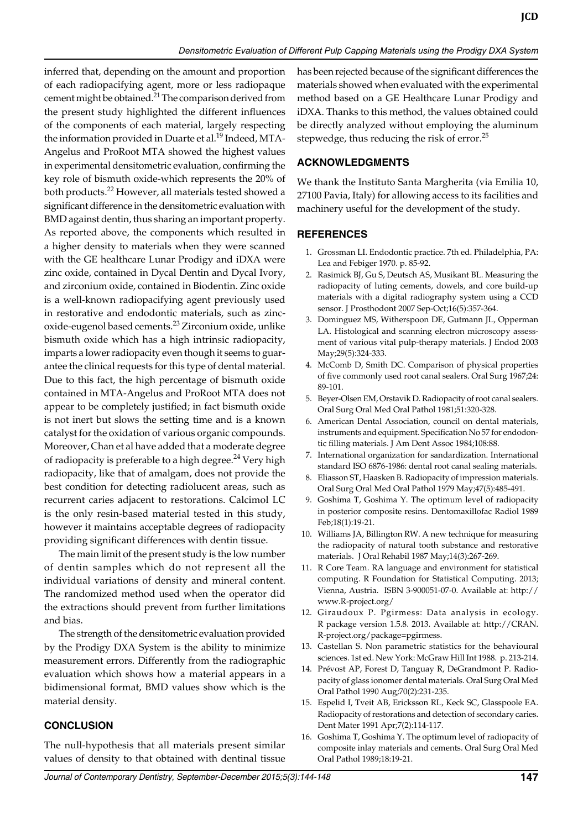inferred that, depending on the amount and proportion of each radiopacifying agent, more or less radiopaque cement might be obtained.<sup>21</sup> The comparison derived from the present study highlighted the different influences of the components of each material, largely respecting the information provided in Duarte et al.<sup>19</sup> Indeed, MTA-Angelus and ProRoot MTA showed the highest values in experimental densitometric evaluation, confirming the key role of bismuth oxide-which represents the 20% of both products.<sup>22</sup> However, all materials tested showed a significant difference in the densitometric evaluation with BMD against dentin, thus sharing an important property. As reported above, the components which resulted in a higher density to materials when they were scanned with the GE healthcare Lunar Prodigy and iDXA were zinc oxide, contained in Dycal Dentin and Dycal Ivory, and zirconium oxide, contained in Biodentin. Zinc oxide is a well-known radiopacifying agent previously used in restorative and endodontic materials, such as zincoxide-eugenol based cements.<sup>23</sup> Zirconium oxide, unlike bismuth oxide which has a high intrinsic radiopacity, imparts a lower radiopacity even though it seems to guarantee the clinical requests for this type of dental material. Due to this fact, the high percentage of bismuth oxide contained in MTA-Angelus and ProRoot MTA does not appear to be completely justified; in fact bismuth oxide is not inert but slows the setting time and is a known catalyst for the oxidation of various organic compounds. Moreover, Chan et al have added that a moderate degree of radiopacity is preferable to a high degree.<sup>24</sup> Very high radiopacity, like that of amalgam, does not provide the best condition for detecting radiolucent areas, such as recurrent caries adjacent to restorations. Calcimol LC is the only resin-based material tested in this study, however it maintains acceptable degrees of radiopacity providing significant differences with dentin tissue.

The main limit of the present study is the low number of dentin samples which do not represent all the individual variations of density and mineral content. The randomized method used when the operator did the extractions should prevent from further limitations and bias.

The strength of the densitometric evaluation provided by the Prodigy DXA System is the ability to minimize measurement errors. Differently from the radiographic evaluation which shows how a material appears in a bidimensional format, BMD values show which is the material density.

#### **conclusion**

The null-hypothesis that all materials present similar values of density to that obtained with dentinal tissue

has been rejected because of the significant differences the materials showed when evaluated with the experimental method based on a GE Healthcare Lunar Prodigy and iDXA. Thanks to this method, the values obtained could be directly analyzed without employing the aluminum stepwedge, thus reducing the risk of error. $^{25}$ 

#### **ACKNOWLEDGMENTS**

We thank the Instituto Santa Margherita (via Emilia 10, 27100 Pavia, Italy) for allowing access to its facilities and machinery useful for the development of the study.

#### **REFERENCES**

- 1. Grossman LI. Endodontic practice. 7th ed. Philadelphia, PA: Lea and Febiger 1970. p. 85-92.
- 2. Rasimick BJ, Gu S, Deutsch AS, Musikant BL. Measuring the radiopacity of luting cements, dowels, and core build-up materials with a digital radiography system using a CCD sensor. J Prosthodont 2007 Sep-Oct;16(5):357-364.
- 3. Dominguez MS, Witherspoon DE, Gutmann JL, Opperman LA. Histological and scanning electron microscopy assessment of various vital pulp-therapy materials. J Endod 2003 May;29(5):324-333.
- 4. McComb D, Smith DC. Comparison of physical properties of five commonly used root canal sealers. Oral Surg 1967;24: 89-101.
- 5. Beyer-Olsen EM, Orstavik D. Radiopacity of root canal sealers. Oral Surg Oral Med Oral Pathol 1981;51:320-328.
- 6. American Dental Association, council on dental materials, instruments and equipment. Specification No 57 for endodontic filling materials. J Am Dent Assoc 1984;108:88.
- 7. International organization for sandardization. International standard ISO 6876-1986: dental root canal sealing materials.
- Eliasson ST, Haasken B. Radiopacity of impression materials. Oral Surg Oral Med Oral Pathol 1979 May;47(5):485-491.
- 9. Goshima T, Goshima Y. The optimum level of radiopacity in posterior composite resins. Dentomaxillofac Radiol 1989 Feb;18(1):19-21.
- 10. Williams JA, Billington RW. A new technique for measuring the radiopacity of natural tooth substance and restorative materials. J Oral Rehabil 1987 May;14(3):267-269.
- 11. R Core Team. RA language and environment for statistical computing. R Foundation for Statistical Computing. 2013; Vienna, Austria. ISBN 3-900051-07-0. Available at: http:// www.R-project.org/
- 12. Giraudoux P. pgirmess: Data analysis in ecology. R package version 1.5.8. 2013. Available at: http://CRAN. R-project.org/package=pgirmess.
- 13. Castellan S. Non parametric statistics for the behavioural sciences. 1st ed. New York: McGraw Hill Int 1988. p. 213-214.
- 14. Prévost AP, Forest D, Tanguay R, DeGrandmont P. Radiopacity of glass ionomer dental materials. Oral Surg Oral Med Oral Pathol 1990 Aug;70(2):231-235.
- 15. Espelid I, Tveit AB, Ericksson RL, Keck SC, Glasspoole EA. Radiopacity of restorations and detection of secondary caries. Dent Mater 1991 Apr;7(2):114-117.
- 16. Goshima T, Goshima Y. The optimum level of radiopacity of composite inlay materials and cements. Oral Surg Oral Med Oral Pathol 1989;18:19-21.

*Journal of Contemporary Dentistry, September-December 2015;5(3):144-148* **147**